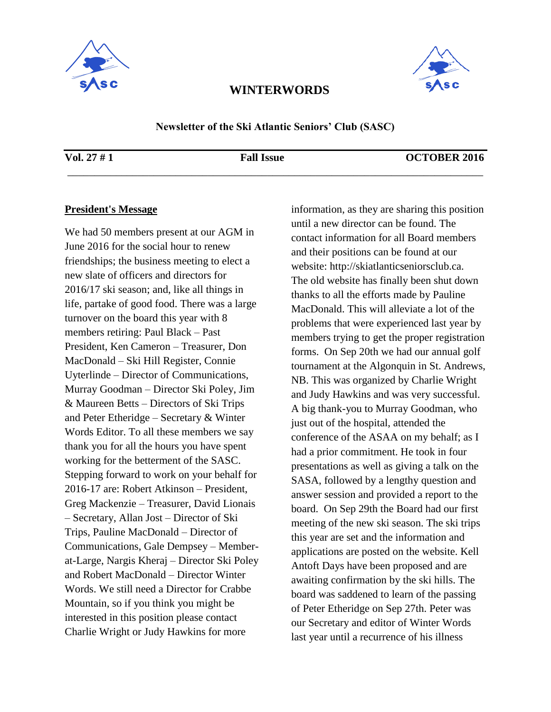



**Newsletter of the Ski Atlantic Seniors' Club (SASC)** 

\_\_\_\_\_\_\_\_\_\_\_\_\_\_\_\_\_\_\_\_\_\_\_\_\_\_\_\_\_\_\_\_\_\_\_\_\_\_\_\_\_\_\_\_\_\_\_\_\_\_\_\_\_\_\_\_\_\_\_\_\_\_\_\_\_\_\_\_\_\_\_\_\_\_\_\_\_

#### **Vol. 27 # 1 Fall Issue OCTOBER 2016**

### **President's Message**

We had 50 members present at our AGM in June 2016 for the social hour to renew friendships; the business meeting to elect a new slate of officers and directors for 2016/17 ski season; and, like all things in life, partake of good food. There was a large turnover on the board this year with 8 members retiring: Paul Black – Past President, Ken Cameron – Treasurer, Don MacDonald – Ski Hill Register, Connie Uyterlinde – Director of Communications, Murray Goodman – Director Ski Poley, Jim & Maureen Betts – Directors of Ski Trips and Peter Etheridge – Secretary & Winter Words Editor. To all these members we say thank you for all the hours you have spent working for the betterment of the SASC. Stepping forward to work on your behalf for 2016-17 are: Robert Atkinson – President, Greg Mackenzie – Treasurer, David Lionais – Secretary, Allan Jost – Director of Ski Trips, Pauline MacDonald – Director of Communications, Gale Dempsey – Memberat-Large, Nargis Kheraj – Director Ski Poley and Robert MacDonald – Director Winter Words. We still need a Director for Crabbe Mountain, so if you think you might be interested in this position please contact Charlie Wright or Judy Hawkins for more

information, as they are sharing this position until a new director can be found. The contact information for all Board members and their positions can be found at our website: http://skiatlanticseniorsclub.ca. The old website has finally been shut down thanks to all the efforts made by Pauline MacDonald. This will alleviate a lot of the problems that were experienced last year by members trying to get the proper registration forms. On Sep 20th we had our annual golf tournament at the Algonquin in St. Andrews, NB. This was organized by Charlie Wright and Judy Hawkins and was very successful. A big thank-you to Murray Goodman, who just out of the hospital, attended the conference of the ASAA on my behalf; as I had a prior commitment. He took in four presentations as well as giving a talk on the SASA, followed by a lengthy question and answer session and provided a report to the board. On Sep 29th the Board had our first meeting of the new ski season. The ski trips this year are set and the information and applications are posted on the website. Kell Antoft Days have been proposed and are awaiting confirmation by the ski hills. The board was saddened to learn of the passing of Peter Etheridge on Sep 27th. Peter was our Secretary and editor of Winter Words last year until a recurrence of his illness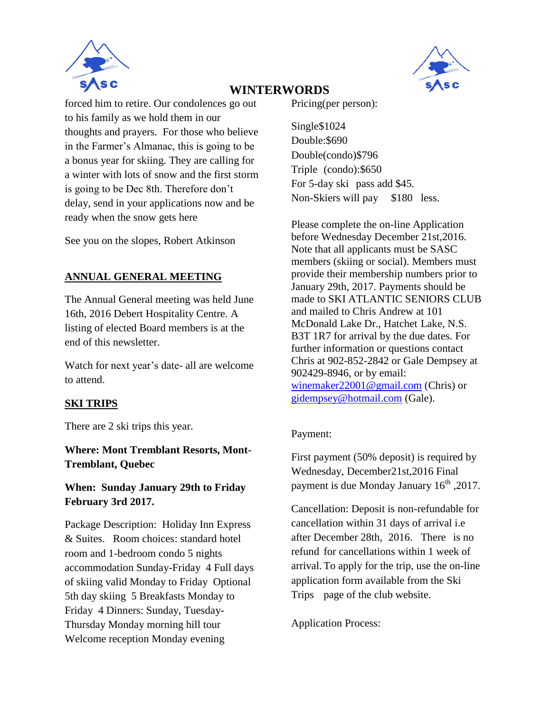



forced him to retire. Our condolences go out to his family as we hold them in our thoughts and prayers. For those who believe in the Farmer's Almanac, this is going to be a bonus year for skiing. They are calling for a winter with lots of snow and the first storm is going to be Dec 8th. Therefore don't delay, send in your applications now and be ready when the snow gets here

See you on the slopes, Robert Atkinson

# **ANNUAL GENERAL MEETING**

The Annual General meeting was held June 16th, 2016 Debert Hospitality Centre. A listing of elected Board members is at the end of this newsletter.

Watch for next year's date- all are welcome to attend.

### **SKI TRIPS**

There are 2 ski trips this year.

**Where: Mont Tremblant Resorts, Mont-Tremblant, Quebec** 

**When: Sunday January 29th to Friday February 3rd 2017.** 

Package Description: Holiday Inn Express & Suites. Room choices: standard hotel room and 1-bedroom condo 5 nights accommodation Sunday-Friday 4 Full days of skiing valid Monday to Friday Optional 5th day skiing 5 Breakfasts Monday to Friday 4 Dinners: Sunday, Tuesday-Thursday Monday morning hill tour Welcome reception Monday evening

Pricing(per person):

Single\$1024 Double:\$690 Double(condo)\$796 Triple (condo):\$650 For 5-day ski pass add \$45. Non-Skiers will pay \$180 less.

Please complete the on-line Application before Wednesday December 21st,2016. Note that all applicants must be SASC members (skiing or social). Members must provide their membership numbers prior to January 29th, 2017. Payments should be made to SKI ATLANTIC SENIORS CLUB and mailed to Chris Andrew at 101 McDonald Lake Dr., Hatchet Lake, N.S. B3T 1R7 for arrival by the due dates. For further information or questions contact Chris at 902-852-2842 or Gale Dempsey at 902429-8946, or by email: [winemaker22001@gmail.com](mailto:winemaker22001@gmail.com) (Chris) or [gidempsey@hotmail.com](mailto:gidempsey@hotmail.com) (Gale).

### Payment:

First payment (50% deposit) is required by Wednesday, December21st,2016 Final payment is due Monday January  $16^{th}$ , 2017.

Cancellation: Deposit is non-refundable for cancellation within 31 days of arrival i.e after December 28th, 2016. There is no refund for cancellations within 1 week of arrival.To apply for the trip, use the on-line application form available from the Ski Trips page of the club website.

Application Process: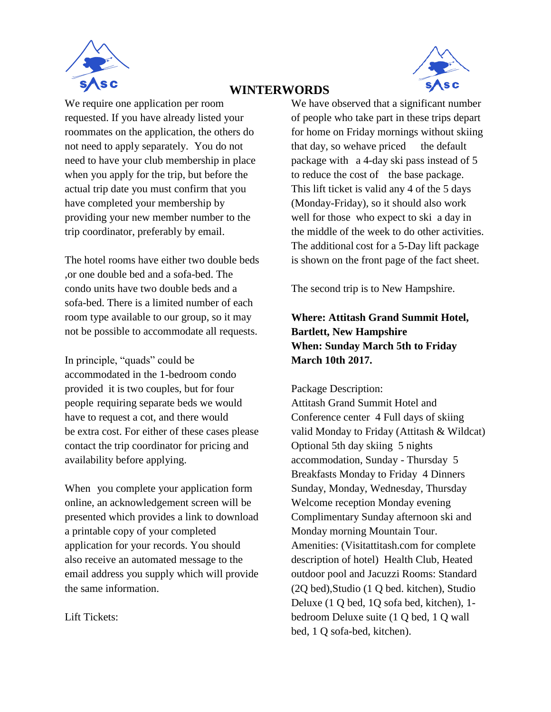



We require one application per room requested. If you have already listed your roommates on the application, the others do not need to apply separately. You do not need to have your club membership in place when you apply for the trip, but before the actual trip date you must confirm that you have completed your membership by providing your new member number to the trip coordinator, preferably by email.

The hotel rooms have either two double beds ,or one double bed and a sofa-bed. The condo units have two double beds and a sofa-bed. There is a limited number of each room type available to our group, so it may not be possible to accommodate all requests.

In principle, "quads" could be accommodated in the 1-bedroom condo provided it is two couples, but for four people requiring separate beds we would have to request a cot, and there would be extra cost. For either of these cases please contact the trip coordinator for pricing and availability before applying.

When you complete your application form online, an acknowledgement screen will be presented which provides a link to download a printable copy of your completed application for your records. You should also receive an automated message to the email address you supply which will provide the same information.

Lift Tickets:

We have observed that a significant number of people who take part in these trips depart for home on Friday mornings without skiing that day, so we have priced the default package with a 4-day ski pass instead of 5 to reduce the cost of the base package. This lift ticket is valid any 4 of the 5 days (Monday-Friday), so it should also work well for those who expect to ski a day in the middle of the week to do other activities. The additional cost for a 5-Day lift package is shown on the front page of the fact sheet.

The second trip is to New Hampshire.

# **Where: Attitash Grand Summit Hotel, Bartlett, New Hampshire When: Sunday March 5th to Friday March 10th 2017.**

Package Description:

Attitash Grand Summit Hotel and Conference center 4 Full days of skiing valid Monday to Friday (Attitash & Wildcat) Optional 5th day skiing 5 nights accommodation, Sunday - Thursday 5 Breakfasts Monday to Friday 4 Dinners Sunday, Monday, Wednesday, Thursday Welcome reception Monday evening Complimentary Sunday afternoon ski and Monday morning Mountain Tour. Amenities: (Visitattitash.com for complete description of hotel) Health Club, Heated outdoor pool and Jacuzzi Rooms: Standard (2Q bed),Studio (1 Q bed. kitchen), Studio Deluxe (1 Q bed, 1Q sofa bed, kitchen), 1 bedroom Deluxe suite (1 Q bed, 1 Q wall bed, 1 Q sofa-bed, kitchen).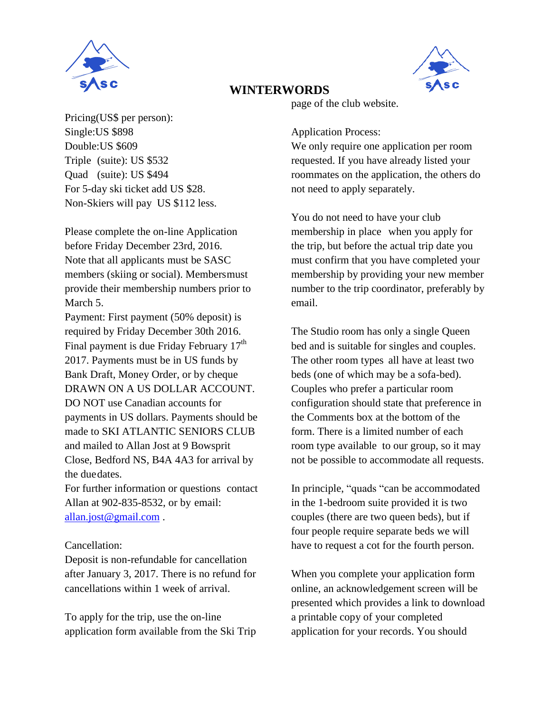



Pricing(US\$ per person): Single:US \$898 Double:US \$609 Triple (suite): US \$532 Quad (suite): US \$494 For 5-day ski ticket add US \$28. Non-Skiers will pay US \$112 less.

Please complete the on-line Application before Friday December 23rd, 2016. Note that all applicants must be SASC members (skiing or social). Membersmust provide their membership numbers prior to March 5.

Payment: First payment (50% deposit) is required by Friday December 30th 2016. Final payment is due Friday February 17<sup>th</sup> 2017. Payments must be in US funds by Bank Draft, Money Order, or by cheque DRAWN ON A US DOLLAR ACCOUNT. DO NOT use Canadian accounts for payments in US dollars. Payments should be made to SKI ATLANTIC SENIORS CLUB and mailed to Allan Jost at 9 Bowsprit Close, Bedford NS, B4A 4A3 for arrival by the duedates.

For further information or questions contact Allan at 902-835-8532, or by email: [allan.jost@gmail.com](mailto:allan.jost@gmail.com) .

### Cancellation:

Deposit is non-refundable for cancellation after January 3, 2017. There is no refund for cancellations within 1 week of arrival.

To apply for the trip, use the on-line application form available from the Ski Trip page of the club website.

### Application Process:

We only require one application per room requested. If you have already listed your roommates on the application, the others do not need to apply separately.

You do not need to have your club membership in place when you apply for the trip, but before the actual trip date you must confirm that you have completed your membership by providing your new member number to the trip coordinator, preferably by email.

The Studio room has only a single Queen bed and is suitable for singles and couples. The other room types all have at least two beds (one of which may be a sofa-bed). Couples who prefer a particular room configuration should state that preference in the Comments box at the bottom of the form. There is a limited number of each room type available to our group, so it may not be possible to accommodate all requests.

In principle, "quads "can be accommodated in the 1-bedroom suite provided it is two couples (there are two queen beds), but if four people require separate beds we will have to request a cot for the fourth person.

When you complete your application form online, an acknowledgement screen will be presented which provides a link to download a printable copy of your completed application for your records. You should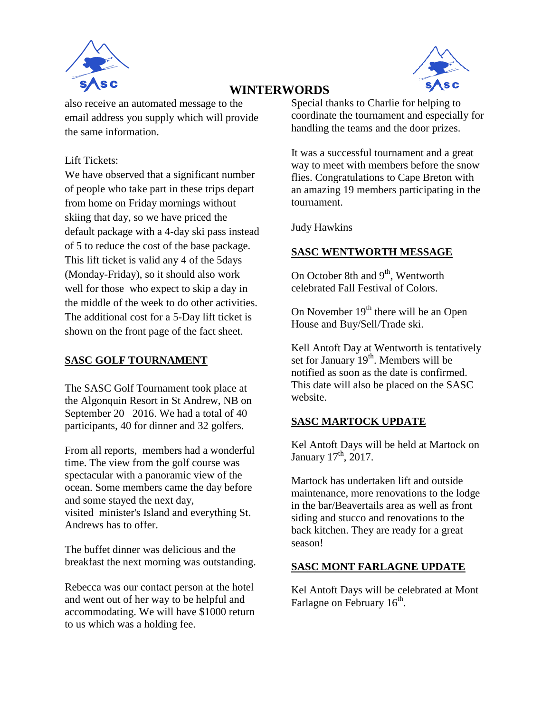



also receive an automated message to the email address you supply which will provide the same information.

### Lift Tickets:

We have observed that a significant number of people who take part in these trips depart from home on Friday mornings without skiing that day, so we have priced the default package with a 4-day ski pass instead of 5 to reduce the cost of the base package. This lift ticket is valid any 4 of the 5days (Monday-Friday), so it should also work well for those who expect to skip a day in the middle of the week to do other activities. The additional cost for a 5-Day lift ticket is shown on the front page of the fact sheet.

## **SASC GOLF TOURNAMENT**

The SASC Golf Tournament took place at the Algonquin Resort in St Andrew, NB on September 20 2016. We had a total of 40 participants, 40 for dinner and 32 golfers.

From all reports, members had a wonderful time. The view from the golf course was spectacular with a panoramic view of the ocean. Some members came the day before and some stayed the next day, visited minister's Island and everything St. Andrews has to offer.

The buffet dinner was delicious and the breakfast the next morning was outstanding.

Rebecca was our contact person at the hotel and went out of her way to be helpful and accommodating. We will have \$1000 return to us which was a holding fee.

Special thanks to Charlie for helping to coordinate the tournament and especially for handling the teams and the door prizes.

It was a successful tournament and a great way to meet with members before the snow flies. Congratulations to Cape Breton with an amazing 19 members participating in the tournament.

Judy Hawkins

### **SASC WENTWORTH MESSAGE**

On October 8th and  $9<sup>th</sup>$ , Wentworth celebrated Fall Festival of Colors.

On November  $19<sup>th</sup>$  there will be an Open House and Buy/Sell/Trade ski.

Kell Antoft Day at Wentworth is tentatively set for January  $19<sup>th</sup>$ . Members will be notified as soon as the date is confirmed. This date will also be placed on the SASC website.

# **SASC MARTOCK UPDATE**

Kel Antoft Days will be held at Martock on January  $17<sup>th</sup>$ , 2017.

Martock has undertaken lift and outside maintenance, more renovations to the lodge in the bar/Beavertails area as well as front siding and stucco and renovations to the back kitchen. They are ready for a great season!

### **SASC MONT FARLAGNE UPDATE**

Kel Antoft Days will be celebrated at Mont Farlagne on February  $16<sup>th</sup>$ .